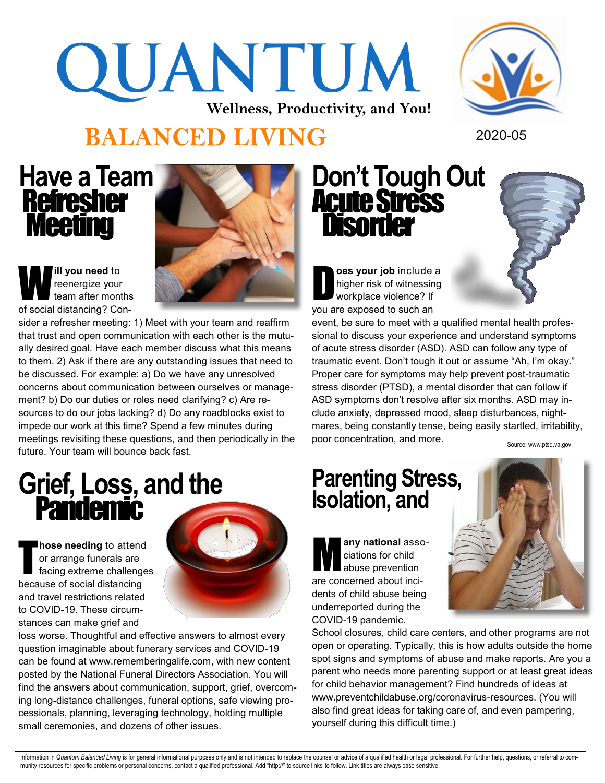# QUANTUM **Wellness, Productivity, and You!**



#### **BALANCED LIVING** 2020-05

#### **Have a Team**  Refresher Meeting



W **ill you need** to reenergize your team after months of social distancing? Con-

sider a refresher meeting: 1) Meet with your team and reaffirm that trust and open communication with each other is the mutually desired goal. Have each member discuss what this means to them. 2) Ask if there are any outstanding issues that need to be discussed. For example: a) Do we have any unresolved concerns about communication between ourselves or management? b) Do our duties or roles need clarifying? c) Are resources to do our jobs lacking? d) Do any roadblocks exist to impede our work at this time? Spend a few minutes during meetings revisiting these questions, and then periodically in the future. Your team will bounce back fast.

## **Grief, Loss, and the** Pandemic

T **hose needing** to attend or arrange funerals are facing extreme challenges because of social distancing and travel restrictions related to COVID-19. These circumstances can make grief and



loss worse. Thoughtful and effective answers to almost every question imaginable about funerary services and COVID-19 can be found at www.rememberingalife.com, with new content posted by the National Funeral Directors Association. You will find the answers about communication, support, grief, overcoming long-distance challenges, funeral options, safe viewing processionals, planning, leveraging technology, holding multiple small ceremonies, and dozens of other issues.

#### **Don't Tough Out Acute Stress Disorder**

D **oes your job** include a higher risk of witnessing workplace violence? If you are exposed to such an

event, be sure to meet with a qualified mental health professional to discuss your experience and understand symptoms of acute stress disorder (ASD). ASD can follow any type of traumatic event. Don't tough it out or assume "Ah, I'm okay." Proper care for symptoms may help prevent post-traumatic stress disorder (PTSD), a mental disorder that can follow if ASD symptoms don't resolve after six months. ASD may include anxiety, depressed mood, sleep disturbances, nightmares, being constantly tense, being easily startled, irritability, poor concentration, and more.

Source: www.ptsd.va.gov

#### **Parenting Stress, Isolation, and**

M **any national** associations for child abuse prevention are concerned about incidents of child abuse being underreported during the COVID-19 pandemic.



School closures, child care centers, and other programs are not open or operating. Typically, this is how adults outside the home spot signs and symptoms of abuse and make reports. Are you a parent who needs more parenting support or at least great ideas for child behavior management? Find hundreds of ideas at www.preventchildabuse.org/coronavirus-resources. (You will also find great ideas for taking care of, and even pampering, yourself during this difficult time.)

Information in Quantum Balanced Living is for general informational purposes only and is not intended to replace the counsel or advice of a qualified health or legal professional. For further help, questions, or referral t munity resources for specific problems or personal concerns, contact a qualified professional. Add "http://" to source links to follow. Link titles are always case sensitive.